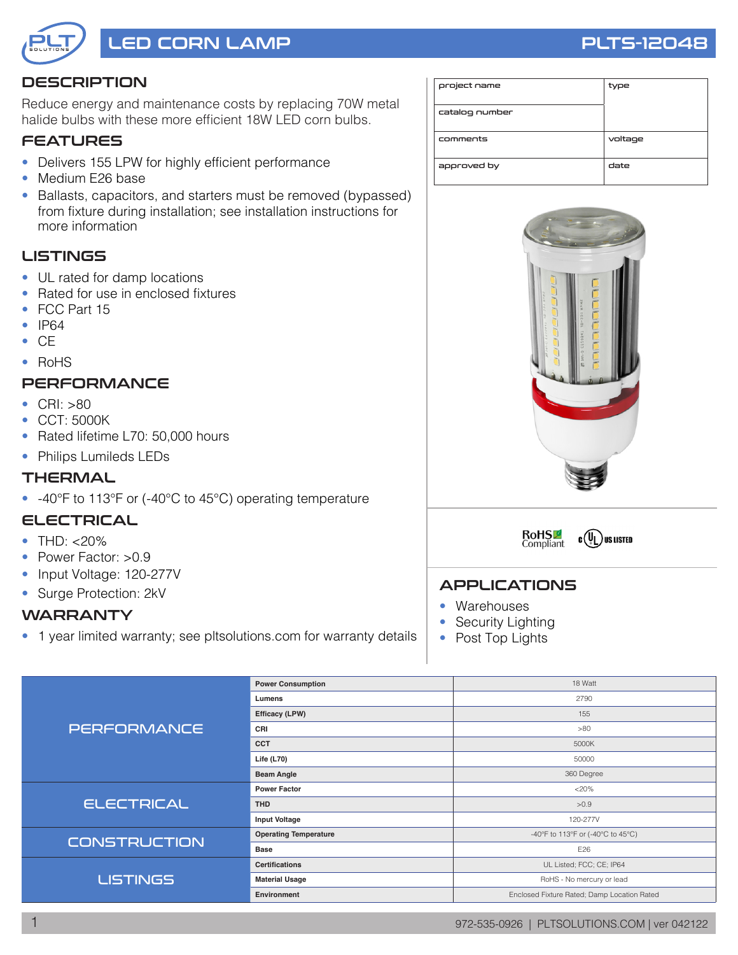

# LED CORN LAMP RESERVE THE RESERVE THAT THE PLTS-12048

# **DESCRIPTION**

Reduce energy and maintenance costs by replacing 70W metal halide bulbs with these more efficient 18W LED corn bulbs.

# **FEATURES**

- Delivers 155 LPW for highly efficient performance
- Medium E26 base
- Ballasts, capacitors, and starters must be removed (bypassed) from fixture during installation; see installation instructions for more information

# **LISTINGS**

- UL rated for damp locations
- Rated for use in enclosed fixtures
- FCC Part 15
- IP64
- CE
- RoHS

# **PERFORMANCE**

- CRI: >80
- CCT: 5000K
- Rated lifetime L70: 50,000 hours
- Philips Lumileds LEDs

#### THERMAL

• -40°F to 113°F or (-40°C to 45°C) operating temperature

#### ELECTRICAL

- THD:  $< 20\%$
- Power Factor: >0.9
- Input Voltage: 120-277V
- Surge Protection: 2kV

#### WARRANTY

• 1 year limited warranty; see pltsolutions.com for warranty details

| project name   | type    |
|----------------|---------|
| catalog number |         |
| comments       | voltage |
| approved by    | date    |





#### APPLICATIONS

- Warehouses
- Security Lighting
- Post Top Lights

| <b>PERFORMANCE</b>  | <b>Power Consumption</b>     | 18 Watt                                     |  |  |  |
|---------------------|------------------------------|---------------------------------------------|--|--|--|
|                     | Lumens                       | 2790                                        |  |  |  |
|                     | Efficacy (LPW)               | 155                                         |  |  |  |
|                     | CRI                          | >80                                         |  |  |  |
|                     | <b>CCT</b>                   | 5000K                                       |  |  |  |
|                     | Life $(L70)$                 | 50000                                       |  |  |  |
|                     | <b>Beam Angle</b>            | 360 Degree                                  |  |  |  |
| <b>ELECTRICAL</b>   | <b>Power Factor</b>          | <20%                                        |  |  |  |
|                     | <b>THD</b>                   | >0.9                                        |  |  |  |
|                     | <b>Input Voltage</b>         | 120-277V                                    |  |  |  |
|                     | <b>Operating Temperature</b> | -40°F to 113°F or (-40°C to 45°C)           |  |  |  |
| <b>CONSTRUCTION</b> | <b>Base</b>                  | E26                                         |  |  |  |
|                     | <b>Certifications</b>        | UL Listed; FCC; CE; IP64                    |  |  |  |
| <b>LISTINGS</b>     | <b>Material Usage</b>        | RoHS - No mercury or lead                   |  |  |  |
|                     | Environment                  | Enclosed Fixture Rated; Damp Location Rated |  |  |  |